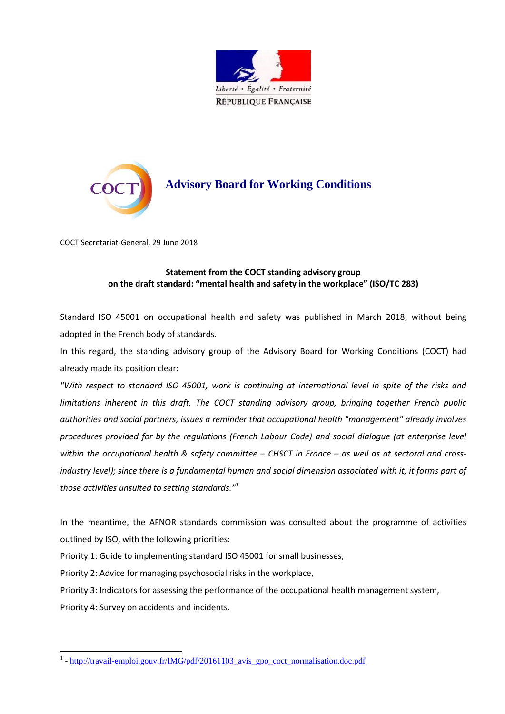



COCT Secretariat-General, 29 June 2018

## **Statement from the COCT standing advisory group on the draft standard: "mental health and safety in the workplace" (ISO/TC 283)**

Standard ISO 45001 on occupational health and safety was published in March 2018, without being adopted in the French body of standards.

In this regard, the standing advisory group of the Advisory Board for Working Conditions (COCT) had already made its position clear:

*"With respect to standard ISO 45001, work is continuing at international level in spite of the risks and limitations inherent in this draft. The COCT standing advisory group, bringing together French public authorities and social partners, issues a reminder that occupational health "management" already involves procedures provided for by the regulations (French Labour Code) and social dialogue (at enterprise level*  within the occupational health & safety committee – CHSCT in France – as well as at sectoral and cross*industry level); since there is a fundamental human and social dimension associated with it, it forms part of those activities unsuited to setting standards." 1*

In the meantime, the AFNOR standards commission was consulted about the programme of activities outlined by ISO, with the following priorities:

Priority 1: Guide to implementing standard ISO 45001 for small businesses,

Priority 2: Advice for managing psychosocial risks in the workplace,

Priority 3: Indicators for assessing the performance of the occupational health management system,

Priority 4: Survey on accidents and incidents.

 $\overline{a}$ 

<sup>&</sup>lt;sup>1</sup> - [http://travail-emploi.gouv.fr/IMG/pdf/20161103\\_avis\\_gpo\\_coct\\_normalisation.doc.pdf](http://travail-emploi.gouv.fr/IMG/pdf/20161103_avis_gpo_coct_normalisation.doc.pdf)